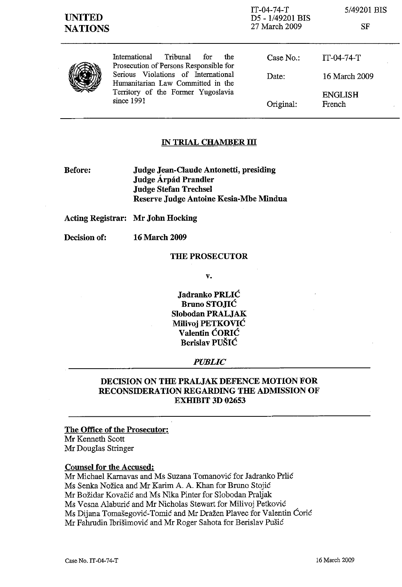| <b>UNITED</b><br><b>NATIONS</b> |                                                                                                                                                                                                                   | $IT-04-74-T$<br>D5 - 1/49201 BIS<br>27 March 2009 | 5/49201 BIS<br>SF        |  |
|---------------------------------|-------------------------------------------------------------------------------------------------------------------------------------------------------------------------------------------------------------------|---------------------------------------------------|--------------------------|--|
|                                 | International<br>Tribunal<br>the<br>for<br>Prosecution of Persons Responsible for<br>Serious Violations of International<br>Humanitarian Law Committed in the<br>Territory of the Former Yugoslavia<br>since 1991 | Case No.:                                         | $IT-04-74-T$             |  |
|                                 |                                                                                                                                                                                                                   | Date:                                             | 16 March 2009            |  |
|                                 |                                                                                                                                                                                                                   | Original:                                         | <b>ENGLISH</b><br>French |  |

### IN TRIAL CHAMBER **III**

Before: Judge Jean-Claude Antonetti, presiding Judge Árpád Prandler Judge Stefan Trechsel Reserve Judge Antoine Kesia-Mbe Mindua

### Acting Registrar: Mr John Hocking

Decision of: 16 March 2009

### THE PROSECUTOR

v.

Jadranko PRLIC Bruno STOJIC Slobodan PRALJAK Milivoj PETKOVIC Valentin CORIC Berislav PUSIC

#### *PUBLIC*

### DECISION ON THE PRALJAK DEFENCE MOTION FOR RECONSIDERATION REGARDING THE ADMISSION OF EXHIBIT 3D 02653

The Office of the Prosecutor: Mr Kenneth Scott Mr Douglas Stringer

#### Counsel for the Accused:

Mr Michael Karnavas and Ms Suzana Tomanović for Jadranko Prlić Ms Senka Nožica and Mr Karim A. A. Khan for Bruno Stojić Mr Bozidar Kovacic and Ms Nika Pinter for Slobodan Praljak Ms Vesna Alaburić and Mr Nicholas Stewart for Milivoj Petković Ms Dijana Tomašegović-Tomić and Mr Dražen Plavec for Valentin Čorić Mr Fahrudin Ibrišimović and Mr Roger Sahota for Berislav Pušić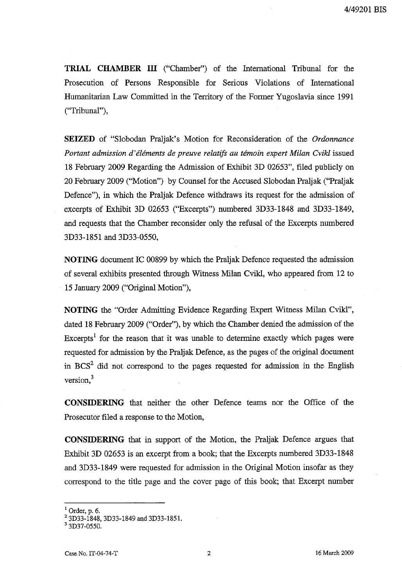**TRIAL CHAMBER ill** ("Chamber") of the International Tribunal for the Prosecution of Persons Responsible for Serious Violations of International Humanitarian Law Committed in the Territory of the Former Yugoslavia since 1991 ("Tribunal"),

**SEIZED** of "Slobodan Praljak's Motion for Reconsideration of the *Ordonnance Portant admission d' elements de preuve relatifs au temoin expert Milan Cvikl* issued 18 February 2009 Regarding the Admission of Exhibit 3D 02653", filed publicly on 20 February 2009 ("Motion") by Counsel for the Accused Slobodan Praljak ("Praljak Defence"), in which the Praljak Defence withdraws its request for the admission of excerpts of Exhibit 3D 02653 ("Excerpts") numbered 3D33-1848 and 3D33-1849, and requests that the Chamber reconsider only the refusal of the Excerpts numbered 3D33-l851 and 3D33-0550,

**NOTING** document **IC** 00899 by which the Praljak Defence requested the admission of several exhibits presented through Witness Milan Cvikl, who appeared from 12 to 15 January 2009 ("Original Motion"),

**NOTING** the "Order Admitting Evidence Regarding Expert Witness Milan Cvik1", dated 18 February 2009 ("Order"), by which the Chamber denied the admission of the Excerpts<sup>1</sup> for the reason that it was unable to determine exactly which pages were requested for admission by the Praljak Defence, as the pages of the original document in  $BCS<sup>2</sup>$  did not correspond to the pages requested for admission in the English version, $3$ 

**CONSIDERING** that neither the other Defence teams nor the Office of the Prosecutor filed a response to the Motion,

**CONSIDERING** that in support of the Motion, the Praljak Defence argues that Exhibit 3D 02653 is an excerpt from a book; that the Excerpts numbered 3D33-1848 and 3D33-1849 were requested for admission in the Original Motion insofar as they correspond to the title page and the cover page of this book; that Excerpt number

 $<sup>1</sup>$  Order, p. 6.</sup>

<sup>2 3</sup>D33-1848, 3D33-1849 and 3D33-1851.

 $3\overline{3}$ D37-0550.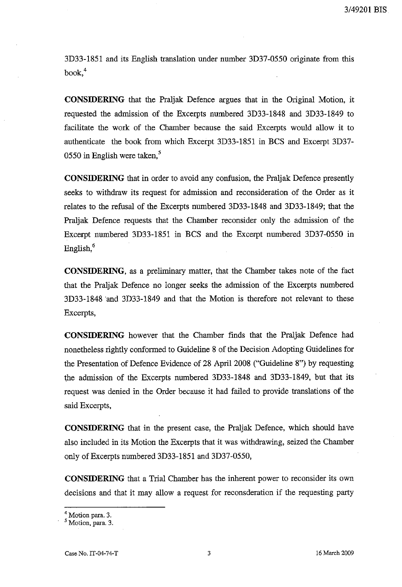3D33-1851 and its English translation under number 3D37-0550 originate from this  $book.<sup>4</sup>$ 

**CONSIDERING** that the Praljak Defence argues that in the Original Motion, it requested the admission of the Excerpts numbered 3D33-1848 and 3D33-1849 to facilitate the work of the Chamber because the said Excerpts would allow it to authenticate the book from which Excerpt 3D33-1851 in BCS and Excerpt 3D37- 0550 in English were taken. $5$ 

**CONSIDERING** that in order to avoid any confusion, the Pra1jak Defence presently seeks to withdraw its request for admission and reconsideration of the Order as it relates to the refusal of the Excerpts numbered 3D33-1848 and 3D33-1849; that the Praljak Defence requests that the Chamber reconsider only the admission of the Excerpt numbered 3D33-1851 in BCS and the Excerpt numbered 3D37-0550 in English, $<sup>6</sup>$ </sup>

**CONSIDERING,** as a preliminary matter, that the Chamber takes note of the fact that the Praljak Defence no longer seeks the admission of the Excerpts numbered 3D33-1848 'and 3D33-1849 and that the Motion is therefore not relevant to these Excerpts,

**CONSIDERING** however that the Chamber finds that the Praljak Defence had nonetheless rightly conformed to Guideline 8 of the Decision Adopting Guidelines for the Presentation of Defence Evidence of 28 April 2008 ("Guideline 8") by requesting the admission of the Excerpts numbered 3D33-1848 and 3D33-1849, but that its request was denied in the Order because it had failed to provide translations of the said Excerpts,

**CONSIDERING** that in the present case, the Praljak Defence, which should have also included in its Motion the Excerpts that it was withdrawing, seized the Chamber only of Excerpts numbered 3D33-1851 and 3D37-0550,

**CONSIDERING** that a Trial Chamber has the inherent power to reconsider its own decisions and that it may allow a request for reconsderation if the requesting party

<sup>4</sup> Motion para, 3.

<sup>5</sup> Motion, para. 3.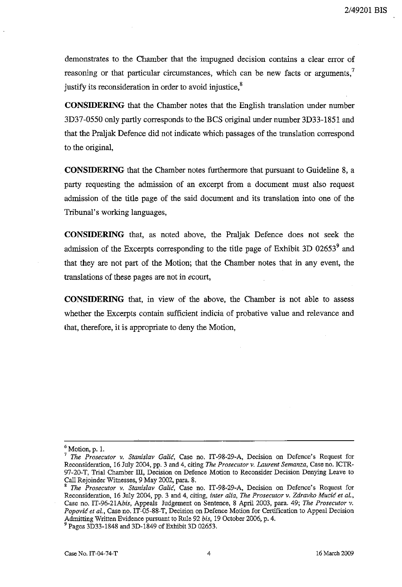demonstrates to the Chamber that the impugned decision contains a clear error of reasoning or that particular circumstances, which can be new facts or arguments, $\alpha$ justify its reconsideration in order to avoid injustice,<sup>8</sup>

**CONSIDERING** that the Chamber notes that the English translation under number 3D37-0550 only partly corresponds to the BCS original under number 3D33-1851 and that the Praljak: Defence did not indicate which passages of the translation correspond to the original,

**CONSIDERING** that the Chamber notes furthermore that pursuant to Guideline 8, a party requesting the admission of an excerpt from a document must also request admission of the title page of the said document and its translation into one of the Tribunal's working languages,

**CONSIDERING** that, as noted above, the Praljak: Defence does not seek the admission of the Excerpts corresponding to the title page of Exhibit 3D 02653 $^9$  and that they are not part of the Motion; that the Chamber notes that in any event, the translations of these pages are not in *ecourt,* 

**CONSIDERING** that, in view of the above, the Chamber is not able to assess whether the Excerpts contain sufficient indicia of probative value and relevance and that, therefore, it is appropriate to deny the Motion,

 $\frac{6}{7}$  Motion, p. 1.<br> $\frac{7}{7}$  The Prosecular

<sup>7</sup>*The Prosecutor v. Stanislav GaUe,* Case no. IT-98-29-A, Decision on Defence's Request for Reconsideration, 16 July 2004, pp. 3 and 4, citing *The Prosecutor v. Laurent Semanza,* Case no. ICTR-97-20-T, Trial Chamber III, Decision on Defence Motion to Reconsider Decision Denying Leave to Call Rejoinder Wituesses, 9 May 2002, para. 8.

<sup>8</sup>*The Prosecutor v. Stanislav GaUe,* Case no. IT-98-29-A, Decision on Defence's Request for Reconsideration, 16 July 2004, pp. 3 and 4, citing, *inter alia, The Prosecutor v. Zdravko Mucić et al.*, Case no. *IT-96-21Ahis,* Appeals Judgement on Sentence, 8 April 2003, para. 49; *The Prosecutor v. Popovic et al.,* Case no. IT-05-88-T, Decision on Defence Motion for Certification to Appeal Decision Admitting Written Evidence pursuant to Rule 92 *his,* 19 October 2006, p. 4.

<sup>&</sup>lt;sup>9</sup> Pages 3D33-1848 and 3D-1849 of Exhibit 3D 02653.